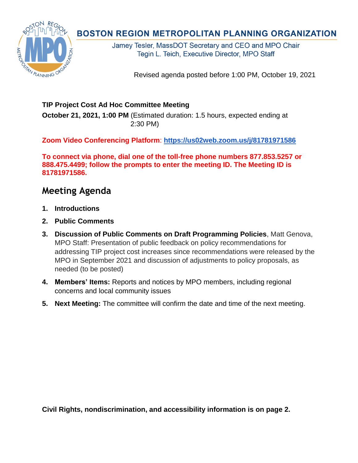Revised agenda posted before 1:00 PM, October 19, 2021

## **TIP Project Cost Ad Hoc Committee Meeting**

**October 21, 2021, 1:00 PM** (Estimated duration: 1.5 hours, expected ending at 2:30 PM)

**Zoom Video Conferencing Platform**: **<https://us02web.zoom.us/j/81781971586>**

**To connect via phone, dial one of the toll-free phone numbers 877.853.5257 or 888.475.4499; follow the prompts to enter the meeting ID. The Meeting ID is 81781971586.** 

## **Meeting Agenda**

- **1. Introductions**
- **2. Public Comments**
- **3. Discussion of Public Comments on Draft Programming Policies**, Matt Genova, MPO Staff: Presentation of public feedback on policy recommendations for addressing TIP project cost increases since recommendations were released by the MPO in September 2021 and discussion of adjustments to policy proposals, as needed (to be posted)
- **4. Members' Items:** Reports and notices by MPO members, including regional concerns and local community issues
- **5. Next Meeting:** The committee will confirm the date and time of the next meeting.

**Civil Rights, nondiscrimination, and accessibility information is on page 2.**